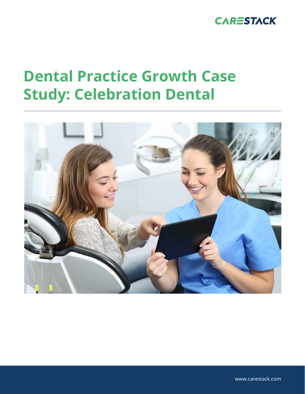

# **Dental Practice Growth Case Study: Celebration Dental**



www.carestack.com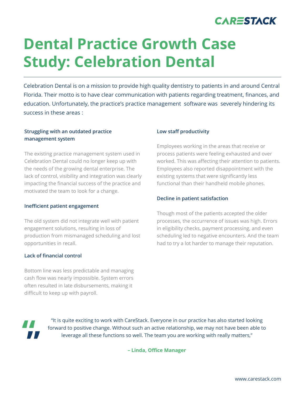

# **Dental Practice Growth Case Study: Celebration Dental**

Celebration Dental is on a mission to provide high quality dentistry to patients in and around Central Florida. Their motto is to have clear communication with patients regarding treatment, finances, and education. Unfortunately, the practice's practice management software was severely hindering its success in these areas :

## **Struggling with an outdated practice management system**

The existing practice management system used in Celebration Dental could no longer keep up with the needs of the growing dental enterprise. The lack of control, visibility and integration was clearly impacting the financial success of the practice and motivated the team to look for a change.

#### **Inefficient patient engagement**

The old system did not integrate well with patient engagement solutions, resulting in loss of production from mismanaged scheduling and lost opportunities in recall.

### **Lack of financial control**

Bottom line was less predictable and managing cash flow was nearly impossible. System errors often resulted in late disbursements, making it difficult to keep up with payroll.

#### **Low staff productivity**

Employees working in the areas that receive or process patients were feeling exhausted and over worked. This was affecting their attention to patients. Employees also reported disappointment with the existing systems that were significantly less functional than their handheld mobile phones.

### **Decline in patient satisfaction**

Though most of the patients accepted the older processes, the occurrence of issues was high. Errors in eligibility checks, payment processing, and even scheduling led to negative encounters. And the team had to try a lot harder to manage their reputation.



"It is quite exciting to work with CareStack. Everyone in our practice has also started looking forward to positive change. Without such an active relationship, we may not have been able to leverage all these functions so well. The team you are working with really matters,"

**– Linda, Office Manager**